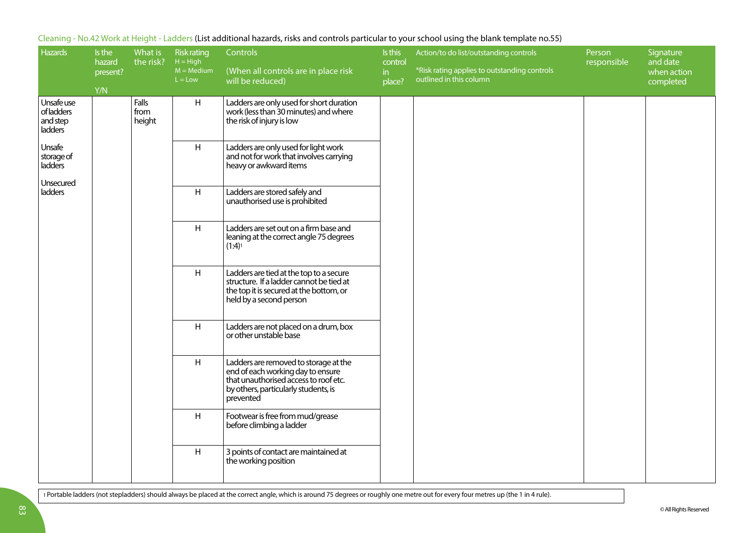| <b>Hazards</b>                                               | Is the<br>hazard<br>present?<br>Y/N | What is<br>the risk?    | <b>Risk rating</b><br>$H = High$<br>$M = Medium$<br>$L = Low$ | Controls<br>(When all controls are in place risk<br>will be reduced)                                                                                                     | Is this<br>control<br>in<br>place? | Action/to do list/outstanding controls<br>*Risk rating applies to outstanding controls<br>outlined in this column | Person<br>responsible | Signature<br>and date<br>when action<br>completed |
|--------------------------------------------------------------|-------------------------------------|-------------------------|---------------------------------------------------------------|--------------------------------------------------------------------------------------------------------------------------------------------------------------------------|------------------------------------|-------------------------------------------------------------------------------------------------------------------|-----------------------|---------------------------------------------------|
| Unsafe use<br>of ladders<br>and step<br>ladders <sup>'</sup> |                                     | Falls<br>from<br>height | H                                                             | Ladders are only used for short duration<br>work (less than 30 minutes) and where<br>the risk of injury is low                                                           |                                    |                                                                                                                   |                       |                                                   |
| Unsafe<br>storage of<br>ladders                              |                                     |                         | H                                                             | Ladders are only used for light work<br>and not for work that involves carrying<br>heavy or awkward items                                                                |                                    |                                                                                                                   |                       |                                                   |
| Unsecured<br>ladders                                         |                                     |                         | H                                                             | Ladders are stored safely and<br>unauthorised use is prohibited                                                                                                          |                                    |                                                                                                                   |                       |                                                   |
|                                                              |                                     |                         | H                                                             | Ladders are set out on a firm base and<br>leaning at the correct angle 75 degrees<br>$(1:4)^1$                                                                           |                                    |                                                                                                                   |                       |                                                   |
|                                                              |                                     |                         | H                                                             | Ladders are tied at the top to a secure<br>structure. If a ladder cannot be tied at<br>the top it is secured at the bottom, or<br>held by a second person                |                                    |                                                                                                                   |                       |                                                   |
|                                                              |                                     |                         | H                                                             | Ladders are not placed on a drum, box<br>or other unstable base                                                                                                          |                                    |                                                                                                                   |                       |                                                   |
|                                                              |                                     |                         | H                                                             | Ladders are removed to storage at the<br>end of each working day to ensure<br>that unauthorised access to roof etc.<br>by others, particularly students, is<br>prevented |                                    |                                                                                                                   |                       |                                                   |
|                                                              |                                     |                         | H                                                             | Footwear is free from mud/grease<br>before climbing a ladder                                                                                                             |                                    |                                                                                                                   |                       |                                                   |
|                                                              |                                     |                         | H                                                             | 3 points of contact are maintained at<br>the working position                                                                                                            |                                    |                                                                                                                   |                       |                                                   |

Cleaning - No.42 Work at Height - Ladders (List additional hazards, risks and controls particular to your school using the blank template no.55)

1 Portable ladders (not stepladders) should always be placed at the correct angle, which is around 75 degrees or roughly one metre out for every four metres up (the 1 in 4 rule).